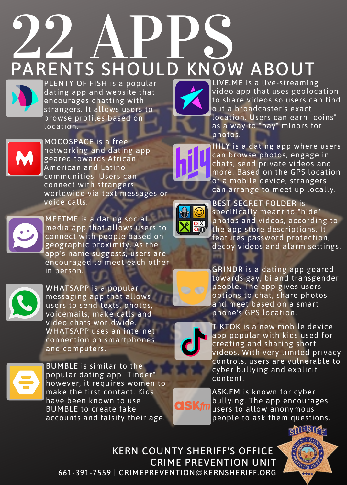## **22 APPS**<br>PARENTS SHOULD KNOW ABOUT



PLENTY OF FISH is a popular dating app and website that encourages chatting with strangers. It allows users to browse profiles based on location.



MOCOSPACE is a free networking and dating app geared towards African American and Latino communities. Users can connect with strangers worldwide via text messages or voice calls.



MEETME is a dating social media app that allows users to connect with people based on geographic proximity. As the app's name suggests, users are encouraged to meet each other in person.



WHATSAPP is a popular messaging app that allows users to send texts, photos, voicemails, make calls and video chats worldwide. WHATSAPP uses an internet connection on smartphones and computers.



BUMBLE is similar to the popular dating app "Tinder" however, it requires women to make the first contact. Kids have been known to use BUMBLE to create fake accounts and falsify their age.



LIVE.ME is a live-streaming video app that uses geolocation to share videos so users can find out a broadcaster's exact location. Users can earn "coins" as a way to "pay" minors for photos.

HILY is a dating app where users can browse photos, engage in chats, send private videos and more. Based on the GPS location of a mobile device, strangers can arrange to meet up locally.



BEST SECRET FOLDER is specifically meant to "hide" photos and videos, according to the app store descriptions. It features password protection, decoy videos and alarm settings.

GRINDR is a dating app geared towards gay, bi and transgender people. The app gives users options to chat, share photos and meet based on a smart phone's GPS location.



TSK

TIKTOK is a new mobile device app popular with kids used for creating and sharing short videos. With very limited privacy controls, users are vulnerable to cyber bullying and explicit content.

ASK.FM is known for cyber bullying. The app encourages users to allow anonymous people to ask them questions.

KERN COUNTY SHERIFF'S OFFICE CRIME PREVENTION UNIT 661-391-7559 | CRIMEPREVENTION@KERNSHERIFF.ORG